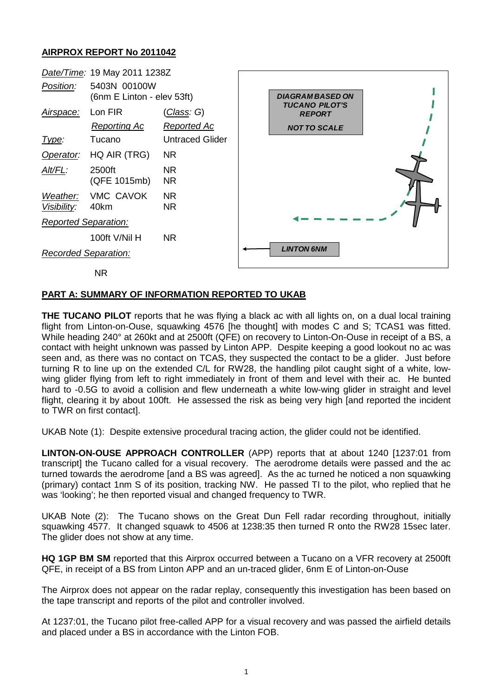## **AIRPROX REPORT No 2011042**



## **PART A: SUMMARY OF INFORMATION REPORTED TO UKAB**

**THE TUCANO PILOT** reports that he was flying a black ac with all lights on, on a dual local training flight from Linton-on-Ouse, squawking 4576 [he thought] with modes C and S; TCAS1 was fitted. While heading 240° at 260kt and at 2500ft (QFE) on recovery to Linton-On-Ouse in receipt of a BS, a contact with height unknown was passed by Linton APP. Despite keeping a good lookout no ac was seen and, as there was no contact on TCAS, they suspected the contact to be a glider. Just before turning R to line up on the extended C/L for RW28, the handling pilot caught sight of a white, lowwing glider flying from left to right immediately in front of them and level with their ac. He bunted hard to -0.5G to avoid a collision and flew underneath a white low-wing glider in straight and level flight, clearing it by about 100ft. He assessed the risk as being very high [and reported the incident to TWR on first contact].

UKAB Note (1):Despite extensive procedural tracing action, the glider could not be identified.

**LINTON-ON-OUSE APPROACH CONTROLLER** (APP) reports that at about 1240 [1237:01 from transcript] the Tucano called for a visual recovery. The aerodrome details were passed and the ac turned towards the aerodrome [and a BS was agreed]. As the ac turned he noticed a non squawking (primary) contact 1nm S of its position, tracking NW. He passed TI to the pilot, who replied that he was 'looking'; he then reported visual and changed frequency to TWR.

UKAB Note (2): The Tucano shows on the Great Dun Fell radar recording throughout, initially squawking 4577. It changed squawk to 4506 at 1238:35 then turned R onto the RW28 15sec later. The glider does not show at any time.

**HQ 1GP BM SM** reported that this Airprox occurred between a Tucano on a VFR recovery at 2500ft QFE, in receipt of a BS from Linton APP and an un-traced glider, 6nm E of Linton-on-Ouse

The Airprox does not appear on the radar replay, consequently this investigation has been based on the tape transcript and reports of the pilot and controller involved.

At 1237:01, the Tucano pilot free-called APP for a visual recovery and was passed the airfield details and placed under a BS in accordance with the Linton FOB.